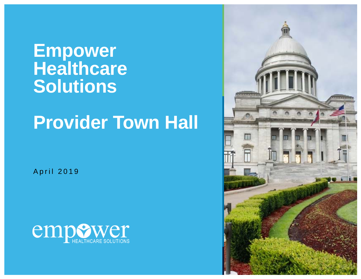### **Empower Healthcare Solutions**

# **Provider Town Hall**

April 2019



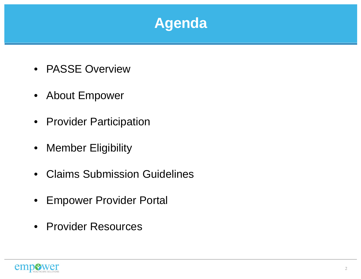#### **Agenda**

- PASSE Overview
- About Empower
- Provider Participation
- Member Eligibility
- Claims Submission Guidelines
- $\bullet$ Empower Provider Portal
- Provider Resources

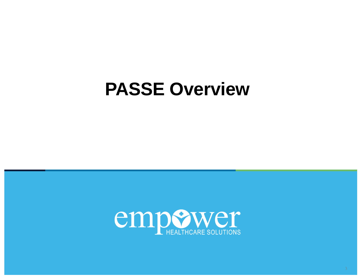# **PASSE Overview**

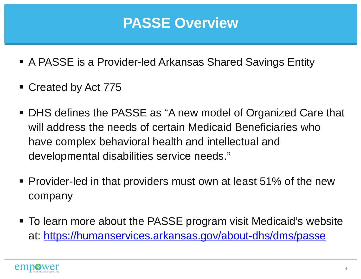### **PASSE Overview**

- A PASSE is a Provider-led Arkansas Shared Savings Entity
- Created by Act 775
- DHS defines the PASSE as "A new model of Organized Care that will address the needs of certain Medicaid Beneficiaries who have complex behavioral health and intellectual and developmental disabilities service needs."
- **Provider-led in that providers must own at least 51% of the new** company
- To learn more about the PASSE program visit Medicaid's website at: https://humanservices.arkansas.gov/about-dhs/dms/passe

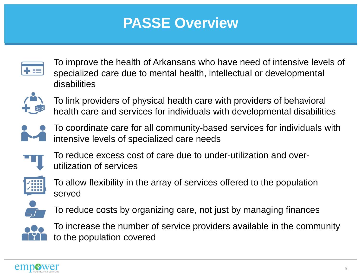### **PASSE Overview**



To improve the health of Arkansans who have need of intensive levels of specialized care due to mental health, intellectual or developmental disabilities



To link providers of physical health care with providers of behavioral health care and services for individuals with developmental disabilities



To coordinate care for all community-based services for individuals with intensive levels of specialized care needs



To reduce excess cost of care due to under-utilization and overutilization of services



To allow flexibility in the array of services offered to the population served



To reduce costs by organizing care, not just by managing finances



To increase the number of service providers available in the community to the population covered

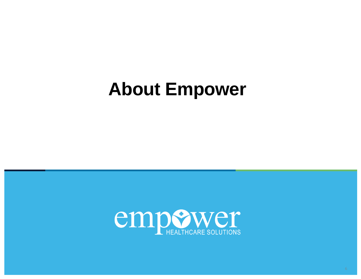# **About Empower**

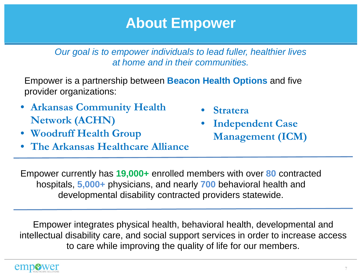#### **About Empower**

*Our goal is to empower individuals to lead fuller, healthier lives at home and in their communities.*

Empower is a partnership between **Beacon Health Options** and five provider organizations:

- **Arkansas Community Health Network (ACHN)**
- •**Woodruff Health Group**
- •**The Arkansas Healthcare Alliance**
- •**Stratera**
- • **Independent Case Management (ICM)**

Empower currently has **19,000+** enrolled members with over **80** contracted hospitals, **5,000+** physicians, and nearly **700** behavioral health and developmental disability contracted providers statewide.

Empower integrates physical health, behavioral health, developmental and intellectual disability care, and social support services in order to increase access to care while improving the quality of life for our members.

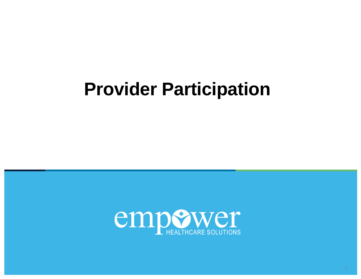# **Provider Participation**

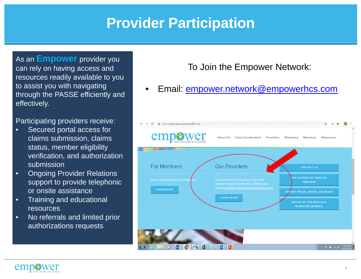#### **Provider Participation**

As an **Empower** provider you can rely on having access and resources readily available to you to assist you with navigating through the PASSE efficiently and effectively.

Participating providers receive:

- • Secured portal access for claims submission, claims status, member eligibility verification, and authorization submission
- • Ongoing Provider Relations support to provide telephonic or onsite assistance
- • Training and educational resources
- • No referrals and limited prior authorizations requests

#### To Join the Empower Network:

•Email: empower.network@empowerhcs.com



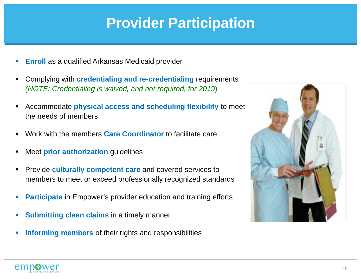#### **Provider Participation**

- $\overline{\phantom{a}}$ **Enroll** as a qualified Arkansas Medicaid provider
- $\blacksquare$  Complying with **credentialing and re-credentialing** requirements *(NOTE: Credentialing is waived, and not required, for 2019*)
- $\blacksquare$  Accommodate **physical access and scheduling flexibility** to meet the needs of members
- $\blacksquare$ Work with the members **Care Coordinator** to facilitate care
- $\blacksquare$ Meet **prior authorization** guidelines
- $\blacksquare$  Provide **culturally competent care** and covered services to members to meet or exceed professionally recognized standards
- $\overline{\phantom{a}}$ **Participate** in Empower's provider education and training efforts
- $\overline{\phantom{a}}$ **Submitting clean claims** in a timely manner
- $\mathcal{A}$ **Informing members** of their rights and responsibilities



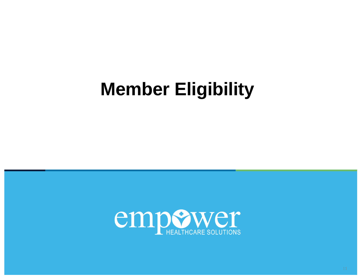# **Member Eligibility**

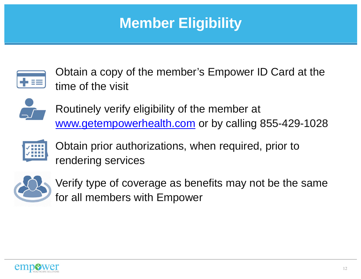### **Member Eligibility**



Obtain a copy of the member's Empower ID Card at the time of the visit



Routinely verify eligibility of the member at www.getempowerhealth.com or by calling 855-429-1028



Obtain prior authorizations, when required, prior to rendering services



Verify type of coverage as benefits may not be the same for all members with Empower

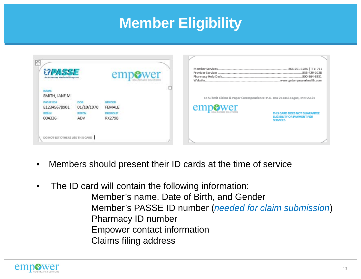### **Member Eligibility**

| $\left  \ddot{+} \right $<br>An Arkansas Medicald Program                                    |                                          | emp                                                        |                                                                                     | 855-429-1028<br>800-364-6331                                                         |
|----------------------------------------------------------------------------------------------|------------------------------------------|------------------------------------------------------------|-------------------------------------------------------------------------------------|--------------------------------------------------------------------------------------|
| <b>NAME</b><br>SMITH, JANE M<br><b>PASSE ID#</b><br>E12345678901<br><b>RICHINE</b><br>004336 | DOB<br>01/10/1970<br><b>RAPON</b><br>ADV | <b>GENDER</b><br><b>FEMALE</b><br><b>RIGROUP</b><br>RX2798 | To Submit Claims & Paper Correspondence: P.O. Box 211446 Eagan, MN 55121<br>empower | THIS CARD DOES NOT GUARANTEE<br><b>ELIGIBILITY OR PAYMENT FOR</b><br><b>SERVICES</b> |
| DO NOT LET OTHERS USE THIS CARD                                                              |                                          |                                                            |                                                                                     |                                                                                      |

- •Members should present their ID cards at the time of service
- • The ID card will contain the following information: Member's name, Date of Birth, and Gender Member's PASSE ID number (*needed for claim submission*) Pharmacy ID number Empower contact information Claims filing address

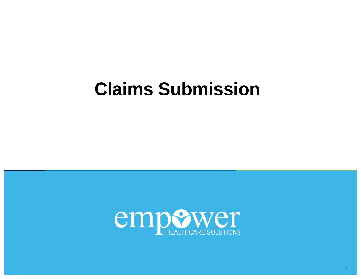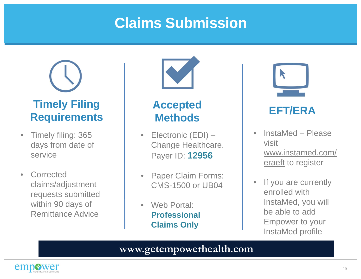

- $\bullet$  Timely filing: 365 days from date of service
- $\bullet$ **Corrected** claims/adjustment requests submitted within 90 days of Remittance Advice



#### **Accepted Methods**

- Electronic (EDI) Change Healthcare. Payer ID: **12956**
- $\bullet$  Paper Claim Forms: CMS-1500 or UB04
- $\bullet$ Web Portal: **Professional Claims Only**



#### **EFT/ERA**

- • InstaMed – Please visit www.instamed.com/ eraeft to register
- $\bullet$  If you are currently enrolled with InstaMed, you will be able to add Empower to your InstaMed profile

#### **www.getempowerhealth.com**

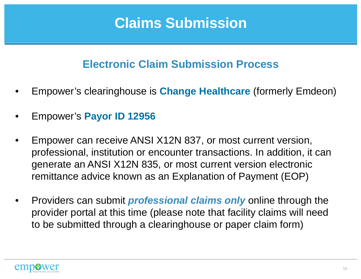#### **Electronic Claim Submission Process**

- •Empower's clearinghouse is **Change Healthcare** (formerly Emdeon)
- •Empower's **Payor ID 12956**
- • Empower can receive ANSI X12N 837, or most current version, professional, institution or encounter transactions. In addition, it can generate an ANSI X12N 835, or most current version electronic remittance advice known as an Explanation of Payment (EOP)
- • Providers can submit *professional claims only* online through the provider portal at this time (please note that facility claims will need to be submitted through a clearinghouse or paper claim form)

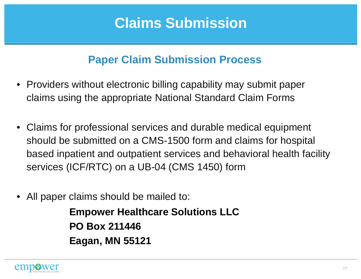#### **Paper Claim Submission Process**

- Providers without electronic billing capability may submit paper claims using the appropriate National Standard Claim Forms
- • Claims for professional services and durable medical equipment should be submitted on a CMS-1500 form and claims for hospital based inpatient and outpatient services and behavioral health facility services (ICF/RTC) on a UB-04 (CMS 1450) form
- •All paper claims should be mailed to:

**Empower Healthcare Solutions LLC PO Box 211446Eagan, MN 55121**

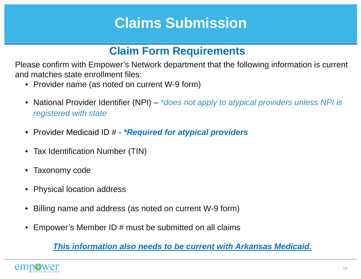#### **Claim Form Requirements**

Please confirm with Empower's Network department that the following information is current and matches state enrollment files:

- Provider name (as noted on current W-9 form)
- National Provider Identifier (NPI) *\*does not apply to atypical providers unless NPI is registered with state*
- Provider Medicaid ID # **-** *\*Required for atypical providers*
- Tax Identification Number (TIN)
- $\bullet$ Taxonomy code
- Physical location address
- •Billing name and address (as noted on current W-9 form)
- •Empower's Member ID # must be submitted on all claims

*This information also needs to be current with Arkansas Medicaid.* 

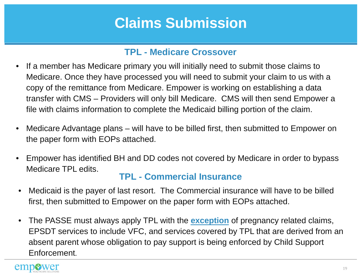#### **TPL - Medicare Crossover**

- $\bullet$  If a member has Medicare primary you will initially need to submit those claims to Medicare. Once they have processed you will need to submit your claim to us with a copy of the remittance from Medicare. Empower is working on establishing a data transfer with CMS – Providers will only bill Medicare. CMS will then send Empower a file with claims information to complete the Medicaid billing portion of the claim.
- $\bullet$  Medicare Advantage plans – will have to be billed first, then submitted to Empower on the paper form with EOPs attached.
- $\bullet$  Empower has identified BH and DD codes not covered by Medicare in order to bypass Medicare TPL edits.

#### **TPL - Commercial Insurance**

- $\bullet$  Medicaid is the payer of last resort. The Commercial insurance will have to be billed first, then submitted to Empower on the paper form with EOPs attached.
- $\bullet$  The PASSE must always apply TPL with the **exception** of pregnancy related claims, EPSDT services to include VFC, and services covered by TPL that are derived from an absent parent whose obligation to pay support is being enforced by Child Support Enforcement.

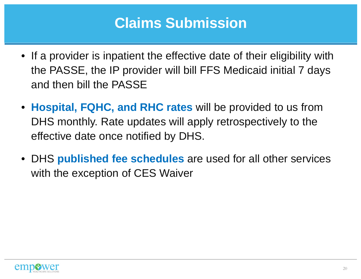- If a provider is inpatient the effective date of their eligibility with the PASSE, the IP provider will bill FFS Medicaid initial 7 days and then bill the PASSE
- **Hospital, FQHC, and RHC rates** will be provided to us from DHS monthly. Rate updates will apply retrospectively to the effective date once notified by DHS.
- DHS **published fee schedules** are used for all other services with the exception of CES Waiver

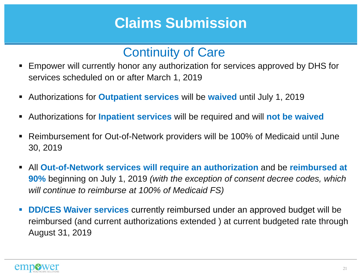#### Continuity of Care

- Empower will currently honor any authorization for services approved by DHS for services scheduled on or after March 1, 2019
- Authorizations for **Outpatient services** will be **waived** until July 1, 2019
- Authorizations for **Inpatient services** will be required and will **not be waived**
- Reimbursement for Out-of-Network providers will be 100% of Medicaid until June 30, 2019
- $\blacksquare$  All **Out-of-Network services will require an authorization** and be **reimbursed at 90%** beginning on July 1, 2019 *(with the exception of consent decree codes, which will continue to reimburse at 100% of Medicaid FS)*
- **DD/CES Waiver services** currently reimbursed under an approved budget will be reimbursed (and current authorizations extended ) at current budgeted rate through August 31, 2019

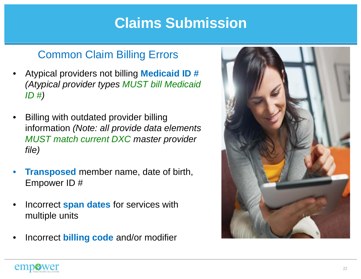#### Common Claim Billing Errors

- • Atypical providers not billing **Medicaid ID #**  *(Atypical provider types MUST bill Medicaid ID #)*
- • Billing with outdated provider billing information *(Note: all provide data elements MUST match current DXC master provider file)*
- • **Transposed** member name, date of birth, Empower ID #
- • Incorrect **span dates** for services with multiple units
- •Incorrect **billing code** and/or modifier



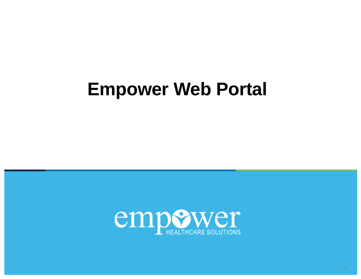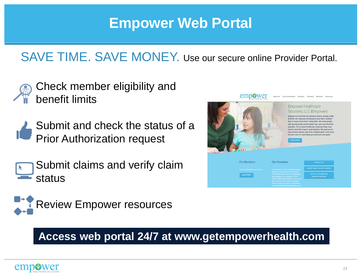#### SAVE TIME. SAVE MONEY. Use our secure online Provider Portal.

- Check member eligibility and benefit limits
- Submit and check the status of a Prior Authorization request
- Submit claims and verify claim status





#### **Access web portal 24/7 at www.getempowerhealth.com**

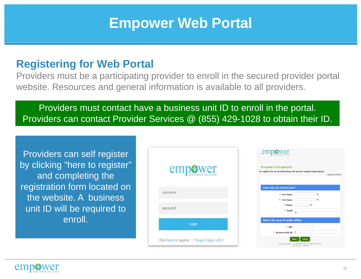#### **Registering for Web Portal**

Providers must be a participating provider to enroll in the secured provider portal website. Resources and general information is available to all providers.

#### Providers must contact have a business unit ID to enroll in the portal. Providers can contact Provider Services @ (855) 429-1028 to obtain their ID.

Providers can self register by clicking "here to register" and completing the registration form located on the website. A business unit ID will be required to enroll.

|                                             | A TRAFFICATION IN A                                                                            |
|---------------------------------------------|------------------------------------------------------------------------------------------------|
| <b>empewer</b>                              | <b>Provider Information</b><br>To register for an account please fill out the required infor   |
| username                                    | How may we contact you?<br>* Last Name<br>* First Name                                         |
| password                                    | * Phone<br>$E$ Email                                                                           |
| Login                                       | <b>Search for your Provider Office</b><br>$'$ NPI<br>* Business Unit ID B                      |
| Click here to register   Forgot login info? | Cancel<br>Next ><br>C 2018 Copyright - evolenthealth.com - All Rights Re<br>X03 05 32 11142018 |

empower



\*Required Fields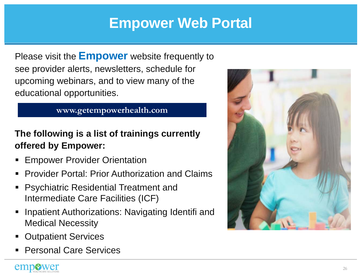Please visit the **Empower** website frequently to see provider alerts, newsletters, schedule for upcoming webinars, and to view many of the educational opportunities.

#### **www.getempowerhealth.com**

#### **The following is a list of trainings currently offered by Empower:**

- ш Empower Provider Orientation
- Provider Portal: Prior Authorization and Claims
- ш Psychiatric Residential Treatment and Intermediate Care Facilities (ICF)
- Inpatient Authorizations: Navigating Identifi and Medical Necessity
- Outpatient Services
- Personal Care Services

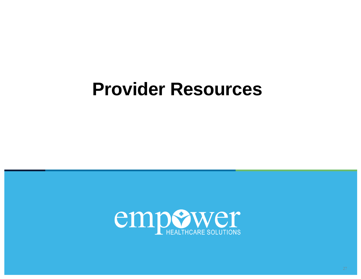## **Provider Resources**

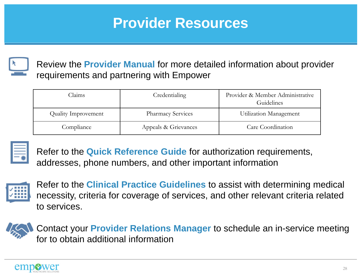### **Provider Resources**



Review the **Provider Manual** for more detailed information about provider requirements and partnering with Empower

| Claims                     | Credentialing            | Provider & Member Administrative<br>Guidelines |  |
|----------------------------|--------------------------|------------------------------------------------|--|
| <b>Quality Improvement</b> | <b>Pharmacy Services</b> | Utilization Management                         |  |
| Compliance                 | Appeals & Grievances     | Care Coordination                              |  |



Refer to the **Quick Reference Guide** for authorization requirements, addresses, phone numbers, and other important information



Refer to the **Clinical Practice Guidelines** to assist with determining medical necessity, criteria for coverage of services, and other relevant criteria related to services.



Contact your **Provider Relations Manager** to schedule an in-service meeting for to obtain additional information

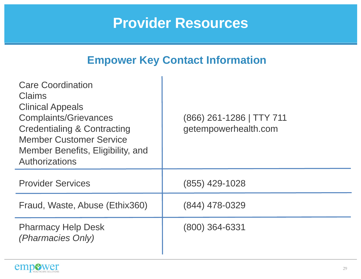#### **Provider Resources**

#### **Empower Key Contact Information**

| <b>Care Coordination</b><br><b>Claims</b><br><b>Clinical Appeals</b><br><b>Complaints/Grievances</b><br><b>Credentialing &amp; Contracting</b><br><b>Member Customer Service</b><br>Member Benefits, Eligibility, and<br>Authorizations | (866) 261-1286   TTY 711<br>getempowerhealth.com |
|-----------------------------------------------------------------------------------------------------------------------------------------------------------------------------------------------------------------------------------------|--------------------------------------------------|
| <b>Provider Services</b>                                                                                                                                                                                                                | (855) 429-1028                                   |
| Fraud, Waste, Abuse (Ethix360)                                                                                                                                                                                                          | (844) 478-0329                                   |
| <b>Pharmacy Help Desk</b><br>(Pharmacies Only)                                                                                                                                                                                          | $(800)$ 364-6331                                 |

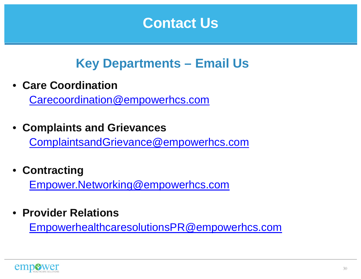#### **Contact Us**

#### **Key Departments – Email Us**

• **Care Coordination** 

Carecoordination@empowerhcs.com

• **Complaints and Grievances** 

ComplaintsandGrievance@empowerhcs.com

• **Contracting** 

Empower.Networking@empowerhcs.com

• **Provider Relations**

EmpowerhealthcaresolutionsPR@empowerhcs.com

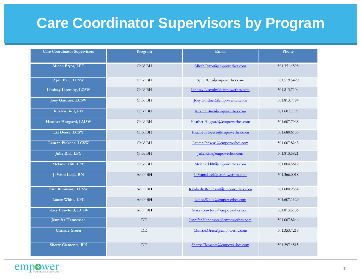### **Care Coordinator Supervisors by Program**

| <b>Care Coordinator Supervisors</b> | Program   | Email                             | Phone        |
|-------------------------------------|-----------|-----------------------------------|--------------|
| Micah Pryor, LPC                    | Child BH  | Micah.Pryor@empowerhcs.com        | 501.351.4598 |
| April Bale, LCSW                    | Child BH  | April.Bale@empowerhcs.com         | 501.519.5420 |
| <b>Lindsay Lisemby, LCSW</b>        | Child BH  | Lindsay.Lisemby@empowerhcs.com    | 501.813.7104 |
| <b>Joey Gardner, LCSW</b>           | Child BH  | Joey.Gardner@empowerhcs.com       | 501.813.7784 |
| Kirsten Bird, RN                    | Child BH  | Kirsten.Bird@empowerhcs.com       | 501.607.7797 |
| Heather Hoggard, LMSW               | Child BH  | Heather.Hoggard@empowerhcs.com    | 501.607.7968 |
| Liz Deere, LCSW                     | Child BH  | Elizabeth.Deere@empowerhcs.com    | 501.680.6135 |
| Lauren Pickens, LCSW                | Child BH  | Lauren.Pickens@empowerhcs.com     | 501.607.8243 |
| Julie Rial, LPC                     | Child BH  | Julie.Rial@empowerhcs.com         | 501.813.5821 |
| Melanie Hilt, LPC                   | Child BH  | Melanie.Hilt@empowerhcs.com       | 501.804.5612 |
| JoVann Leek, RN                     | Adult BH  | JoVann.Leek@empowerhcs.com        | 501.366.0018 |
| Kim Robinson, LCSW                  | Adult BH  | Kimberly.Robinson@empowerhcs.com  | 501.680.2554 |
| Lance White, LPC                    | Adult BH  | Lance.White@empowerhcs.com        | 501.607.1320 |
| <b>Stacy Crawford, LCSW</b>         | Adult BH  | Stacy.Crawford@empowerhcs.com     | 501.813.5736 |
| Jennifer Hennessee                  | <b>DD</b> | Jennifer.Hennessee@empowerhcs.com | 501.607.8246 |
| <b>Christie Green</b>               | DD        | Christie.Green@empowerhc.com      | 501.353.7218 |
| <b>Sherry Clements, RN</b>          | DD        | Sherry.Clements@empowerhcs.com    | 501.297.4515 |

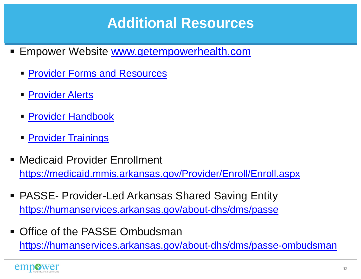### **Additional Resources**

- Empower Website www.getempowerhealth.com
	- $\blacksquare$ **Provider Forms and Resources**
	- $\blacksquare$ **Provider Alerts**
	- $\blacksquare$ Provider Handbook
	- $\blacksquare$ **Provider Trainings**
- Medicaid Provider Enrollment https://medicaid.mmis.arkansas.gov/Provider/Enroll/Enroll.aspx
- PASSE- Provider-Led Arkansas Shared Saving Entity https://humanservices.arkansas.gov/about-dhs/dms/passe
- $\blacksquare$  Office of the PASSE Ombudsman https://humanservices.arkansas.gov/about-dhs/dms/passe-ombudsman